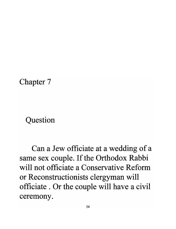#### Chapter 7

### Question

Can a Jew officiate at a wedding of a same sex couple. If the Orthodox Rabbi **will not officiate a Conservative Reform**  or Reconstructionists clergyman will officiate . Or the couple will have a civil **ceremony.**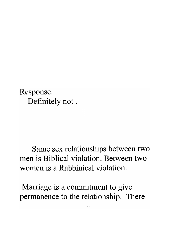Response. Definitely not .

### Same sex relationships between two **men is Biblical violation. Between two women is a Rabbinical violation.**

Marriage is a commitment to give permanence to the relationship. There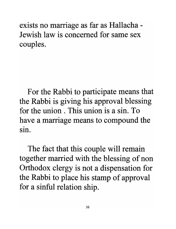exists no marriage as far as Hallacha - **Jewish law is concerned for same sex**  couples.

For the Rabbi to participate means that the Rabbi is giving his approval blessing **for the union. This union is a sin. To**  have a marriage means to compound the • **SIn.** 

The fact that this couple will remain together married with the blessing of non Orthodox clergy is not a dispensation for the Rabbi to place his stamp of approval for a sinful relation ship.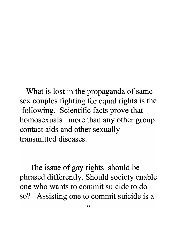What is lost in the propaganda of same sex couples fighting for equal rights is the following. Scientific facts prove that homosexuals more than any other group contact aids and other sexually **transmitted diseases.** 

The issue of gay rights should be phrased differently. Should society enable **one** who **wants to commit suicide to do**  so? Assisting one to commit suicide is a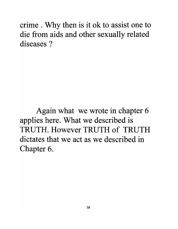crime . Why then is it ok to assist one to die from aids and other sexually related **diseases?** 

Again what we wrote in chapter 6 applies here. What we described is TRUTH. **However** TRUTH **of** TRUTH **dictates that we act as we described in**  Chapter 6.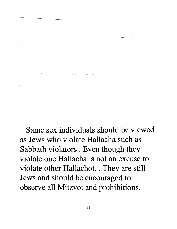Same sex individuals should be viewed as Jews who violate Hallacha such as Sabbath violators. Even though they violate one Hallacha is not an excuse to violate other Hallachot. . They are still Jews and should be encouraged to observe all Mitzvot and prohibitions.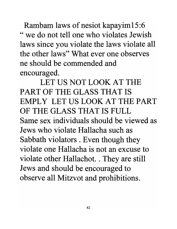Rambam laws of nesiot kapayim15:6 "we do not tell one who violates Jewish laws since you violate the laws violate all the other laws" What ever one observes ne should be commended and encouraged.

LET US NOT LOOK AT THE PART OF THE GLASS THAT IS EMPLY LET US LOOK AT THE PART OF THE GLASS THAT IS FULL Same sex individuals should be viewed as Jews who violate Hallacha such as Sabbath violators . Even though they violate one Hallacha is not an excuse to violate other Hallachot. . They are still Jews and should be encouraged to observe all Mitzvot and prohibitions.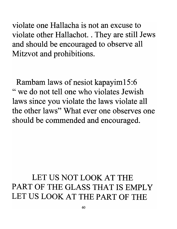violate one Hallacha is not an excuse to violate other Hallachot. . They are still Jews and should be encouraged to observe all Mitzvot and prohibitions.

Rambam laws of nesiot kapayim15:6 "we do not tell one who violates Jewish laws since you violate the laws violate all the other laws" What ever one observes one should be commended and encouraged.

# LET US NOT LOOK AT THE PART OF THE GLASS THAT IS EMPLY LET US LOOK AT THE PART OF THE